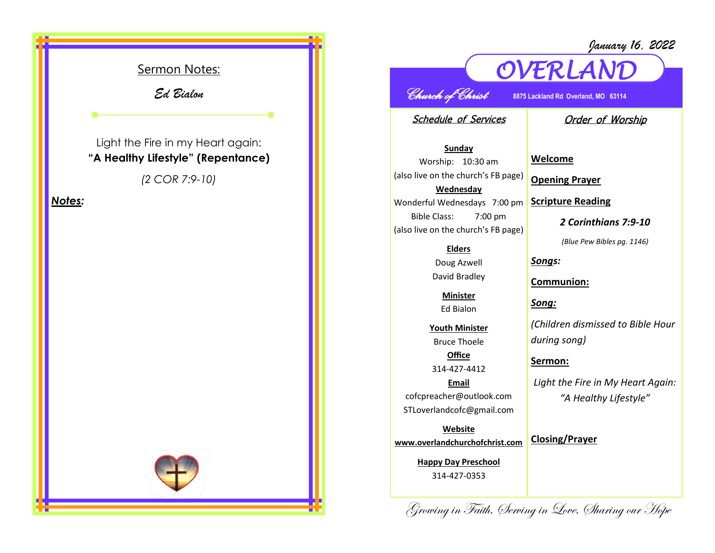

## *January 16, 2022*



*OVERLAND* 

Schedule of Services

## Order of Worship

**Sunday** Worship: 10:30 am (also live on the church's FB page) **Wednesday** Wonderful Wednesdays 7:00 pm Bible Class: 7:00 pm (also live on the church's FB page)

## **Elders**

Doug Azwell David Bradley

> **Minister** Ed Bialon

**Youth Minister** Bruce Thoele **Office**

314-427-4412

**Email** cofcpreacher@outlook.com STLoverlandcofc@gmail.com

**Website www.overlandchurchofchrist.com**

> **Happy Day Preschool** 314-427-0353

**Welcome**

**Opening Prayer**

**Scripture Reading**

*2 Corinthians 7:9-10*

*(Blue Pew Bibles pg. 1146)*

*Songs:*

**Communion:**

*Song:*

*(Children dismissed to Bible Hour during song)*

**Sermon:** 

*Light the Fire in My Heart Again: "A Healthy Lifestyle"*

**Closing/Prayer**

Growing in Faith, Serving in Love, Sharing our Hope